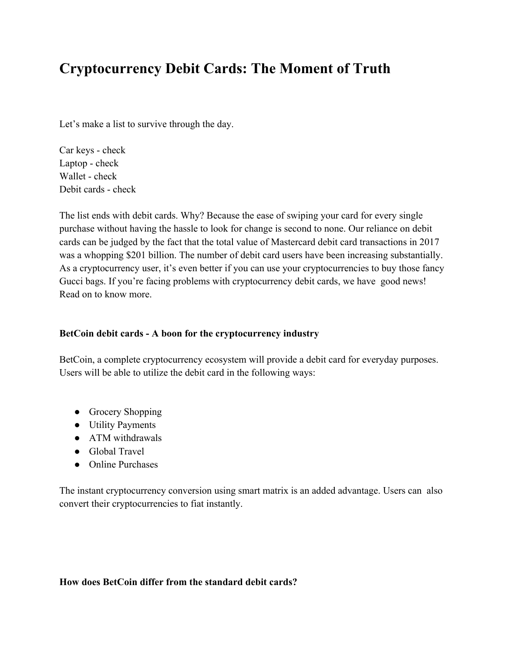## **Cryptocurrency Debit Cards: The Moment of Truth**

Let's make a list to survive through the day.

Car keys - check Laptop - check Wallet - check Debit cards - check

The list ends with debit cards. Why? Because the ease of swiping your card for every single purchase without having the hassle to look for change is second to none. Our reliance on debit cards can be judged by the fact that the total value of Mastercard debit card transactions in 2017 was a whopping \$201 billion. The number of debit card users have been increasing substantially. As a cryptocurrency user, it's even better if you can use your cryptocurrencies to buy those fancy Gucci bags. If you're facing problems with cryptocurrency debit cards, we have good news! Read on to know more.

## **BetCoin debit cards - A boon for the cryptocurrency industry**

BetCoin, a complete cryptocurrency ecosystem will provide a debit card for everyday purposes. Users will be able to utilize the debit card in the following ways:

- Grocery Shopping
- Utility Payments
- ATM withdrawals
- Global Travel
- Online Purchases

The instant cryptocurrency conversion using smart matrix is an added advantage. Users can also convert their cryptocurrencies to fiat instantly.

## **How does BetCoin differ from the standard debit cards?**